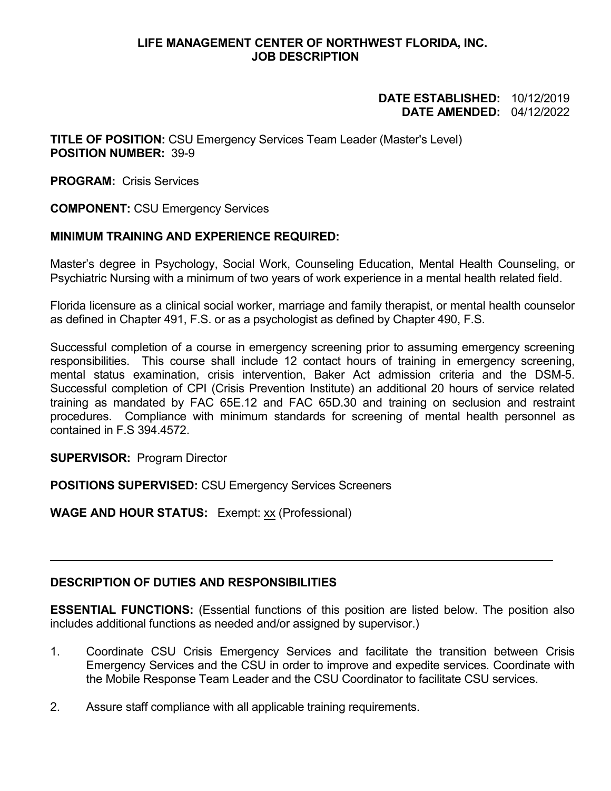#### **LIFE MANAGEMENT CENTER OF NORTHWEST FLORIDA, INC. JOB DESCRIPTION**

#### **DATE ESTABLISHED:** 10/12/2019 **DATE AMENDED:** 04/12/2022

**TITLE OF POSITION:** CSU Emergency Services Team Leader (Master's Level) **POSITION NUMBER:** 39-9

**PROGRAM:** Crisis Services

**COMPONENT:** CSU Emergency Services

## **MINIMUM TRAINING AND EXPERIENCE REQUIRED:**

Master's degree in Psychology, Social Work, Counseling Education, Mental Health Counseling, or Psychiatric Nursing with a minimum of two years of work experience in a mental health related field.

Florida licensure as a clinical social worker, marriage and family therapist, or mental health counselor as defined in Chapter 491, F.S. or as a psychologist as defined by Chapter 490, F.S.

Successful completion of a course in emergency screening prior to assuming emergency screening responsibilities. This course shall include 12 contact hours of training in emergency screening, mental status examination, crisis intervention, Baker Act admission criteria and the DSM-5. Successful completion of CPI (Crisis Prevention Institute) an additional 20 hours of service related training as mandated by FAC 65E.12 and FAC 65D.30 and training on seclusion and restraint procedures. Compliance with minimum standards for screening of mental health personnel as contained in F.S 394.4572.

**SUPERVISOR:** Program Director

**POSITIONS SUPERVISED:** CSU Emergency Services Screeners

**WAGE AND HOUR STATUS:** Exempt: xx (Professional)

## **DESCRIPTION OF DUTIES AND RESPONSIBILITIES**

**ESSENTIAL FUNCTIONS:** (Essential functions of this position are listed below. The position also includes additional functions as needed and/or assigned by supervisor.)

- 1. Coordinate CSU Crisis Emergency Services and facilitate the transition between Crisis Emergency Services and the CSU in order to improve and expedite services. Coordinate with the Mobile Response Team Leader and the CSU Coordinator to facilitate CSU services.
- 2. Assure staff compliance with all applicable training requirements.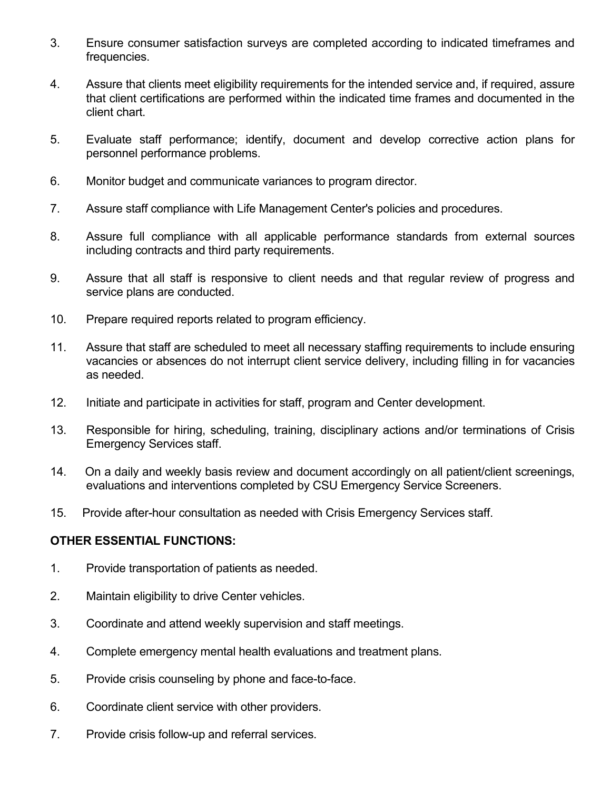- 3. Ensure consumer satisfaction surveys are completed according to indicated timeframes and frequencies.
- 4. Assure that clients meet eligibility requirements for the intended service and, if required, assure that client certifications are performed within the indicated time frames and documented in the client chart.
- 5. Evaluate staff performance; identify, document and develop corrective action plans for personnel performance problems.
- 6. Monitor budget and communicate variances to program director.
- 7. Assure staff compliance with Life Management Center's policies and procedures.
- 8. Assure full compliance with all applicable performance standards from external sources including contracts and third party requirements.
- 9. Assure that all staff is responsive to client needs and that regular review of progress and service plans are conducted.
- 10. Prepare required reports related to program efficiency.
- 11. Assure that staff are scheduled to meet all necessary staffing requirements to include ensuring vacancies or absences do not interrupt client service delivery, including filling in for vacancies as needed.
- 12. Initiate and participate in activities for staff, program and Center development.
- 13. Responsible for hiring, scheduling, training, disciplinary actions and/or terminations of Crisis Emergency Services staff.
- 14. On a daily and weekly basis review and document accordingly on all patient/client screenings, evaluations and interventions completed by CSU Emergency Service Screeners.
- 15. Provide after-hour consultation as needed with Crisis Emergency Services staff.

# **OTHER ESSENTIAL FUNCTIONS:**

- 1. Provide transportation of patients as needed.
- 2. Maintain eligibility to drive Center vehicles.
- 3. Coordinate and attend weekly supervision and staff meetings.
- 4. Complete emergency mental health evaluations and treatment plans.
- 5. Provide crisis counseling by phone and face-to-face.
- 6. Coordinate client service with other providers.
- 7. Provide crisis follow-up and referral services.